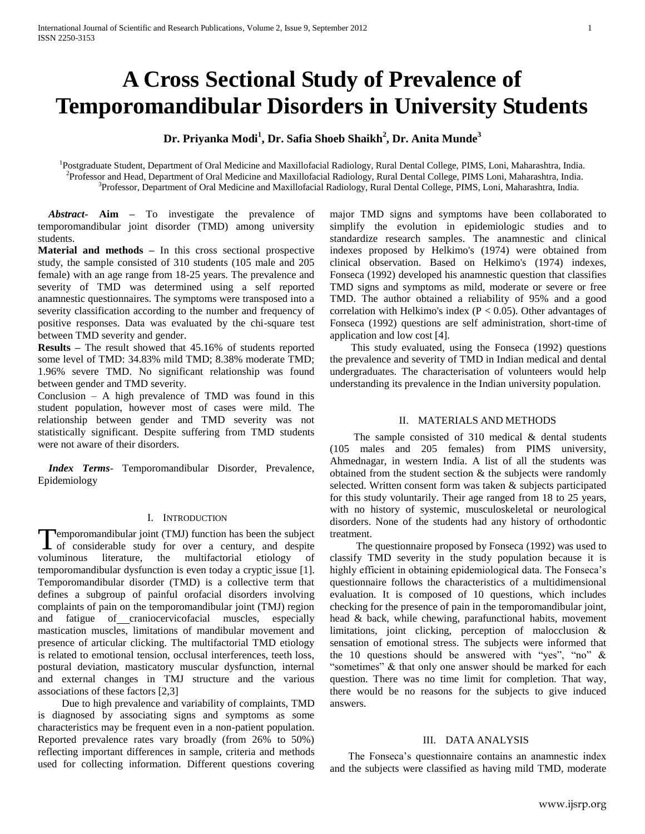# **A Cross Sectional Study of Prevalence of Temporomandibular Disorders in University Students**

**Dr. Priyanka Modi<sup>1</sup> , Dr. Safia Shoeb Shaikh<sup>2</sup> , Dr. Anita Munde<sup>3</sup>**

<sup>1</sup>Postgraduate Student, Department of Oral Medicine and Maxillofacial Radiology, Rural Dental College, PIMS, Loni, Maharashtra, India. 2 Professor and Head, Department of Oral Medicine and Maxillofacial Radiology, Rural Dental College, PIMS Loni, Maharashtra, India. 3 Professor, Department of Oral Medicine and Maxillofacial Radiology, Rural Dental College, PIMS, Loni, Maharashtra, India.

 *Abstract***- Aim –** To investigate the prevalence of temporomandibular joint disorder (TMD) among university students.

**Material and methods –** In this cross sectional prospective study, the sample consisted of 310 students (105 male and 205 female) with an age range from 18-25 years. The prevalence and severity of TMD was determined using a self reported anamnestic questionnaires. The symptoms were transposed into a severity classification according to the number and frequency of positive responses. Data was evaluated by the chi-square test between TMD severity and gender.

**Results –** The result showed that 45.16% of students reported some level of TMD: 34.83% mild TMD; 8.38% moderate TMD; 1.96% severe TMD. No significant relationship was found between gender and TMD severity.

Conclusion – A high prevalence of TMD was found in this student population, however most of cases were mild. The relationship between gender and TMD severity was not statistically significant. Despite suffering from TMD students were not aware of their disorders.

 *Index Terms*- Temporomandibular Disorder, Prevalence, Epidemiology

# I. INTRODUCTION

**Pemporomandibular joint (TMJ) function has been the subject** Temporomandibular joint (TMJ) function has been the subject<br>of considerable study for over a century, and despite voluminous literature, the multifactorial etiology of temporomandibular dysfunction is even today a cryptic issue [1]. Temporomandibular disorder (TMD) is a collective term that defines a subgroup of painful orofacial disorders involving complaints of pain on the temporomandibular joint (TMJ) region and fatigue of craniocervicofacial muscles, especially mastication muscles, limitations of mandibular movement and presence of articular clicking. The multifactorial TMD etiology is related to emotional tension, occlusal interferences, teeth loss, postural deviation, masticatory muscular dysfunction, internal and external changes in TMJ structure and the various associations of these factors [2,3]

 Due to high prevalence and variability of complaints, TMD is diagnosed by associating signs and symptoms as some characteristics may be frequent even in a non-patient population. Reported prevalence rates vary broadly (from 26% to 50%) reflecting important differences in sample, criteria and methods used for collecting information. Different questions covering

major TMD signs and symptoms have been collaborated to simplify the evolution in epidemiologic studies and to standardize research samples. The anamnestic and clinical indexes proposed by Helkimo's (1974) were obtained from clinical observation. Based on Helkimo's (1974) indexes, Fonseca (1992) developed his anamnestic question that classifies TMD signs and symptoms as mild, moderate or severe or free TMD. The author obtained a reliability of 95% and a good correlation with Helkimo's index ( $P < 0.05$ ). Other advantages of Fonseca (1992) questions are self administration, short-time of application and low cost [4].

 This study evaluated, using the Fonseca (1992) questions the prevalence and severity of TMD in Indian medical and dental undergraduates. The characterisation of volunteers would help understanding its prevalence in the Indian university population.

## II. MATERIALS AND METHODS

 The sample consisted of 310 medical & dental students (105 males and 205 females) from PIMS university, Ahmednagar, in western India. A list of all the students was obtained from the student section  $\&$  the subjects were randomly selected. Written consent form was taken & subjects participated for this study voluntarily. Their age ranged from 18 to 25 years, with no history of systemic, musculoskeletal or neurological disorders. None of the students had any history of orthodontic treatment.

 The questionnaire proposed by Fonseca (1992) was used to classify TMD severity in the study population because it is highly efficient in obtaining epidemiological data. The Fonseca's questionnaire follows the characteristics of a multidimensional evaluation. It is composed of 10 questions, which includes checking for the presence of pain in the temporomandibular joint, head & back, while chewing, parafunctional habits, movement limitations, joint clicking, perception of malocclusion & sensation of emotional stress. The subjects were informed that the 10 questions should be answered with "yes", "no" & "sometimes" & that only one answer should be marked for each question. There was no time limit for completion. That way, there would be no reasons for the subjects to give induced answers.

## III. DATA ANALYSIS

 The Fonseca's questionnaire contains an anamnestic index and the subjects were classified as having mild TMD, moderate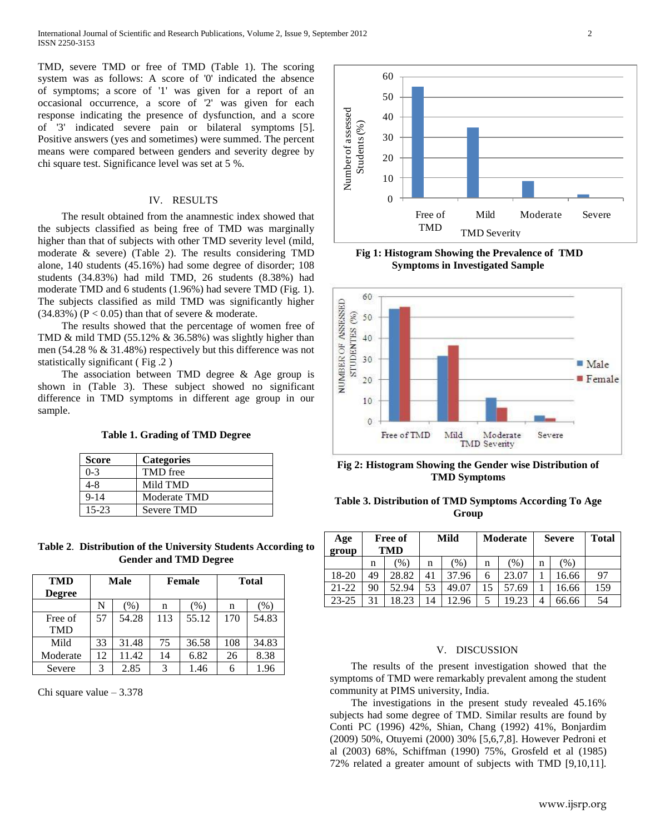TMD, severe TMD or free of TMD (Table 1). The scoring system was as follows: A score of '0' indicated the absence of symptoms; a score of '1' was given for a report of an occasional occurrence, a score of '2' was given for each response indicating the presence of dysfunction, and a score of '3' indicated severe pain or bilateral symptoms [5]. Positive answers (yes and sometimes) were summed. The percent means were compared between genders and severity degree by chi square test. Significance level was set at 5 %.

## IV. RESULTS

 The result obtained from the anamnestic index showed that the subjects classified as being free of TMD was marginally higher than that of subjects with other TMD severity level (mild, moderate & severe) (Table 2). The results considering TMD alone, 140 students (45.16%) had some degree of disorder; 108 students (34.83%) had mild TMD, 26 students (8.38%) had moderate TMD and 6 students (1.96%) had severe TMD (Fig. 1). The subjects classified as mild TMD was significantly higher  $(34.83\%)$  (P < 0.05) than that of severe & moderate.

 The results showed that the percentage of women free of TMD & mild TMD (55.12% & 36.58%) was slightly higher than men (54.28 % & 31.48%) respectively but this difference was not statistically significant ( Fig .2 )

 The association between TMD degree & Age group is shown in (Table 3). These subject showed no significant difference in TMD symptoms in different age group in our sample.

**Table 1. Grading of TMD Degree**

| <b>Score</b> | <b>Categories</b> |
|--------------|-------------------|
| $0-3$        | TMD free          |
| 4-8          | Mild TMD          |
| $9 - 14$     | Moderate TMD      |
| $15-23$      | Severe TMD        |

**Table 2**. **Distribution of the University Students According to Gender and TMD Degree**

| <b>TMD</b><br><b>Degree</b> | <b>Male</b> |       |     | <b>Female</b> | <b>Total</b> |         |  |
|-----------------------------|-------------|-------|-----|---------------|--------------|---------|--|
|                             | N           | (% )  | n   | (% )          | n            | $(\% )$ |  |
| Free of                     | 57          | 54.28 | 113 | 55.12         | 170          | 54.83   |  |
| <b>TMD</b>                  |             |       |     |               |              |         |  |
| Mild                        | 33          | 31.48 | 75  | 36.58         | 108          | 34.83   |  |
| Moderate                    | 12          | 11.42 | 14  | 6.82          | 26           | 8.38    |  |
| Severe                      | 3           | 2.85  | 3   | 1.46          |              | 1.96    |  |

Chi square value  $-3.378$ 



**Fig 1: Histogram Showing the Prevalence of TMD Symptoms in Investigated Sample**



**Fig 2: Histogram Showing the Gender wise Distribution of TMD Symptoms** 

| Table 3. Distribution of TMD Symptoms According To Age |       |  |  |
|--------------------------------------------------------|-------|--|--|
|                                                        | Group |  |  |

| Age<br>group | Free of<br><b>TMD</b> |        | Mild |        | Moderate |        | <b>Severe</b> |               | <b>Total</b> |
|--------------|-----------------------|--------|------|--------|----------|--------|---------------|---------------|--------------|
|              | n                     | $\%$ ) | n    | $\%$ ) | n        | $\%$ , | n             | $\frac{9}{6}$ |              |
| 18-20        | 49                    | 28.82  | 41   | 37.96  | 6        | 23.07  |               | 16.66         | 97           |
| $21 - 22$    | 90                    | 52.94  | 53   | 49.07  |          | 57.69  |               | 16.66         | 159          |
| $23 - 25$    | 31                    | 8.23   | 14   | 12.96  |          | 19.23  | 4             | 66.66         | 54           |

#### V. DISCUSSION

 The results of the present investigation showed that the symptoms of TMD were remarkably prevalent among the student community at PIMS university, India.

 The investigations in the present study revealed 45.16% subjects had some degree of TMD. Similar results are found by Conti PC (1996) 42%, Shian, Chang (1992) 41%, Bonjardim (2009) 50%, Otuyemi (2000) 30% [5,6,7,8]. However Pedroni et al (2003) 68%, Schiffman (1990) 75%, Grosfeld et al (1985) 72% related a greater amount of subjects with TMD [9,10,11].